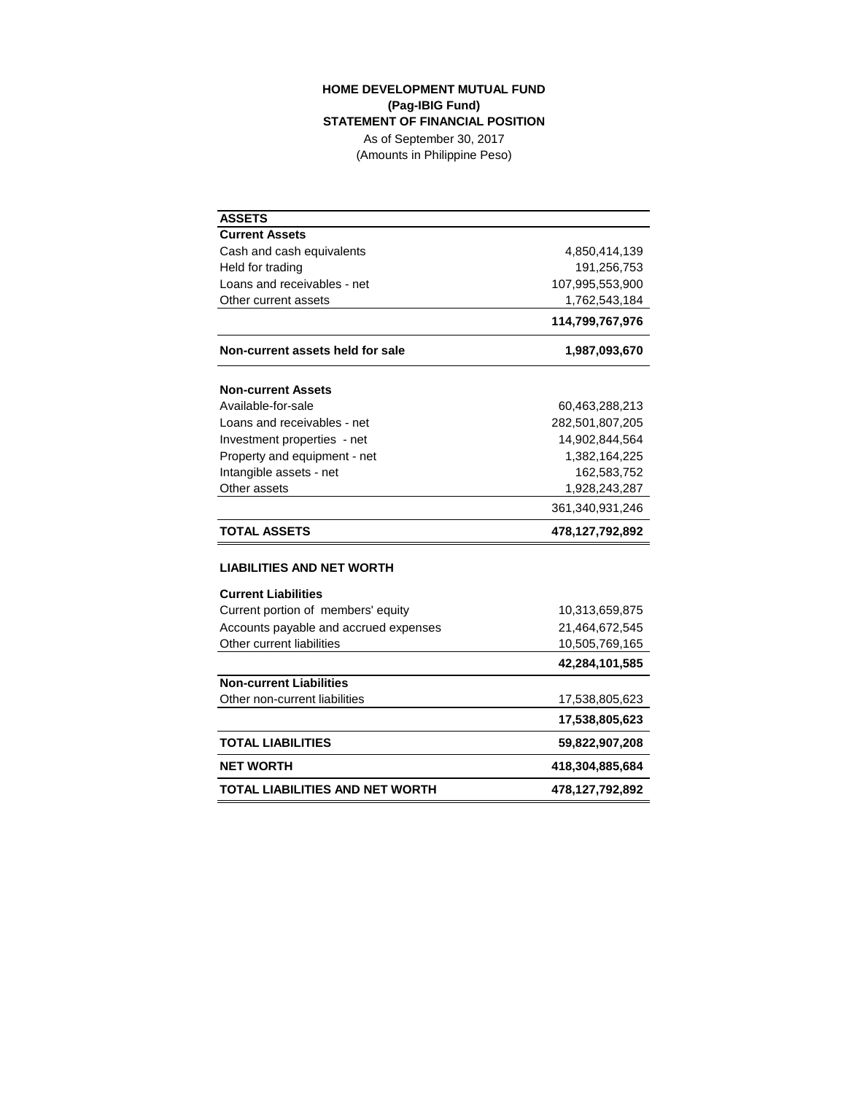## **HOME DEVELOPMENT MUTUAL FUND (Pag-IBIG Fund) STATEMENT OF FINANCIAL POSITION**

As of September 30, 2017 (Amounts in Philippine Peso)

| <b>ASSETS</b>                          |                 |
|----------------------------------------|-----------------|
| <b>Current Assets</b>                  |                 |
| Cash and cash equivalents              | 4,850,414,139   |
| Held for trading                       | 191,256,753     |
| Loans and receivables - net            | 107,995,553,900 |
| Other current assets                   | 1,762,543,184   |
|                                        | 114,799,767,976 |
| Non-current assets held for sale       | 1,987,093,670   |
| <b>Non-current Assets</b>              |                 |
| Available-for-sale                     | 60,463,288,213  |
| Loans and receivables - net            | 282,501,807,205 |
| Investment properties - net            | 14,902,844,564  |
| Property and equipment - net           | 1,382,164,225   |
| Intangible assets - net                | 162,583,752     |
| Other assets                           | 1,928,243,287   |
|                                        | 361,340,931,246 |
| <b>TOTAL ASSETS</b>                    | 478,127,792,892 |
| <b>LIABILITIES AND NET WORTH</b>       |                 |
| <b>Current Liabilities</b>             |                 |
| Current portion of members' equity     | 10,313,659,875  |
| Accounts payable and accrued expenses  | 21,464,672,545  |
| Other current liabilities              | 10,505,769,165  |
|                                        | 42,284,101,585  |
| <b>Non-current Liabilities</b>         |                 |
| Other non-current liabilities          | 17,538,805,623  |
|                                        | 17,538,805,623  |
| <b>TOTAL LIABILITIES</b>               | 59,822,907,208  |
| <b>NET WORTH</b>                       | 418,304,885,684 |
| <b>TOTAL LIABILITIES AND NET WORTH</b> | 478,127,792,892 |

 $\overline{\phantom{0}}$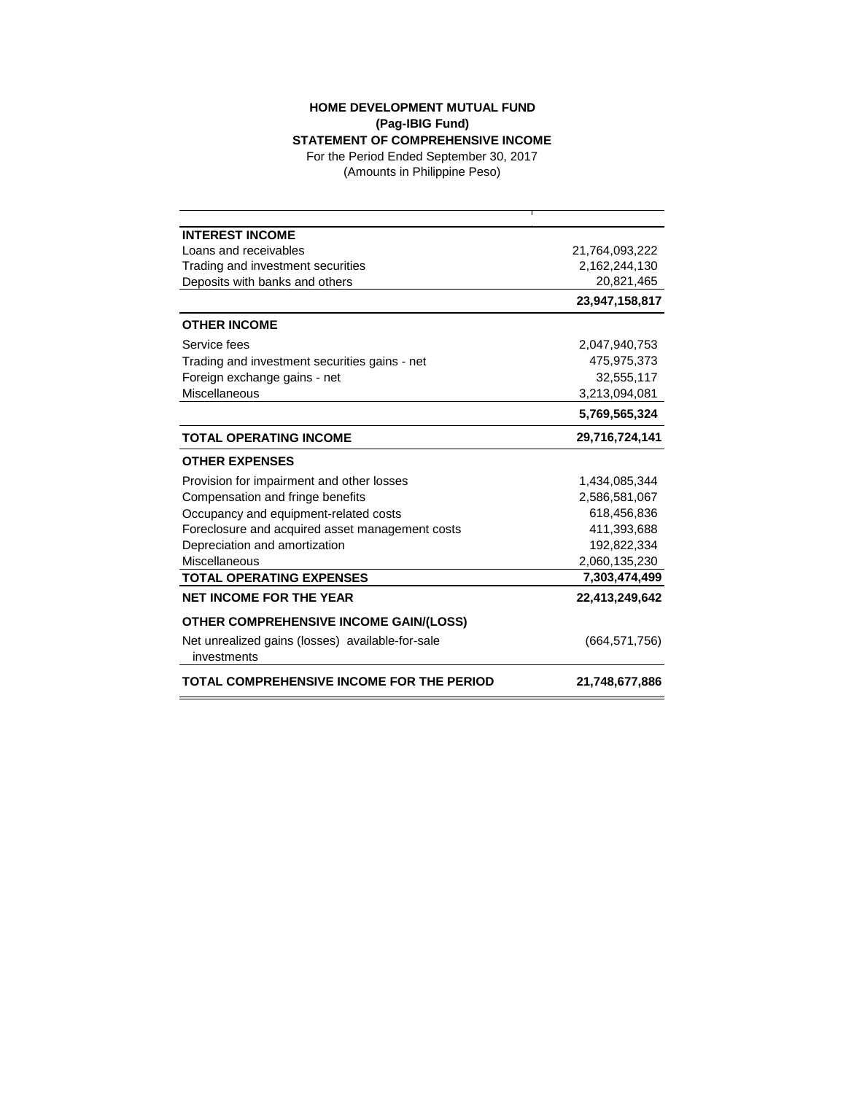## **HOME DEVELOPMENT MUTUAL FUND (Pag-IBIG Fund)**

**STATEMENT OF COMPREHENSIVE INCOME** For the Period Ended September 30, 2017

(Amounts in Philippine Peso)

| <b>INTEREST INCOME</b>                           |                 |
|--------------------------------------------------|-----------------|
| Loans and receivables                            | 21,764,093,222  |
| Trading and investment securities                | 2,162,244,130   |
| Deposits with banks and others                   | 20,821,465      |
|                                                  | 23,947,158,817  |
| <b>OTHER INCOME</b>                              |                 |
| Service fees                                     | 2,047,940,753   |
| Trading and investment securities gains - net    | 475,975,373     |
| Foreign exchange gains - net                     | 32,555,117      |
| Miscellaneous                                    | 3,213,094,081   |
|                                                  | 5,769,565,324   |
| <b>TOTAL OPERATING INCOME</b>                    | 29,716,724,141  |
| <b>OTHER EXPENSES</b>                            |                 |
| Provision for impairment and other losses        | 1,434,085,344   |
| Compensation and fringe benefits                 | 2,586,581,067   |
| Occupancy and equipment-related costs            | 618,456,836     |
| Foreclosure and acquired asset management costs  | 411,393,688     |
| Depreciation and amortization                    | 192,822,334     |
| Miscellaneous                                    | 2,060,135,230   |
| <b>TOTAL OPERATING EXPENSES</b>                  | 7,303,474,499   |
| <b>NET INCOME FOR THE YEAR</b>                   | 22,413,249,642  |
| OTHER COMPREHENSIVE INCOME GAIN/(LOSS)           |                 |
| Net unrealized gains (losses) available-for-sale | (664, 571, 756) |
| investments                                      |                 |
| TOTAL COMPREHENSIVE INCOME FOR THE PERIOD        | 21,748,677,886  |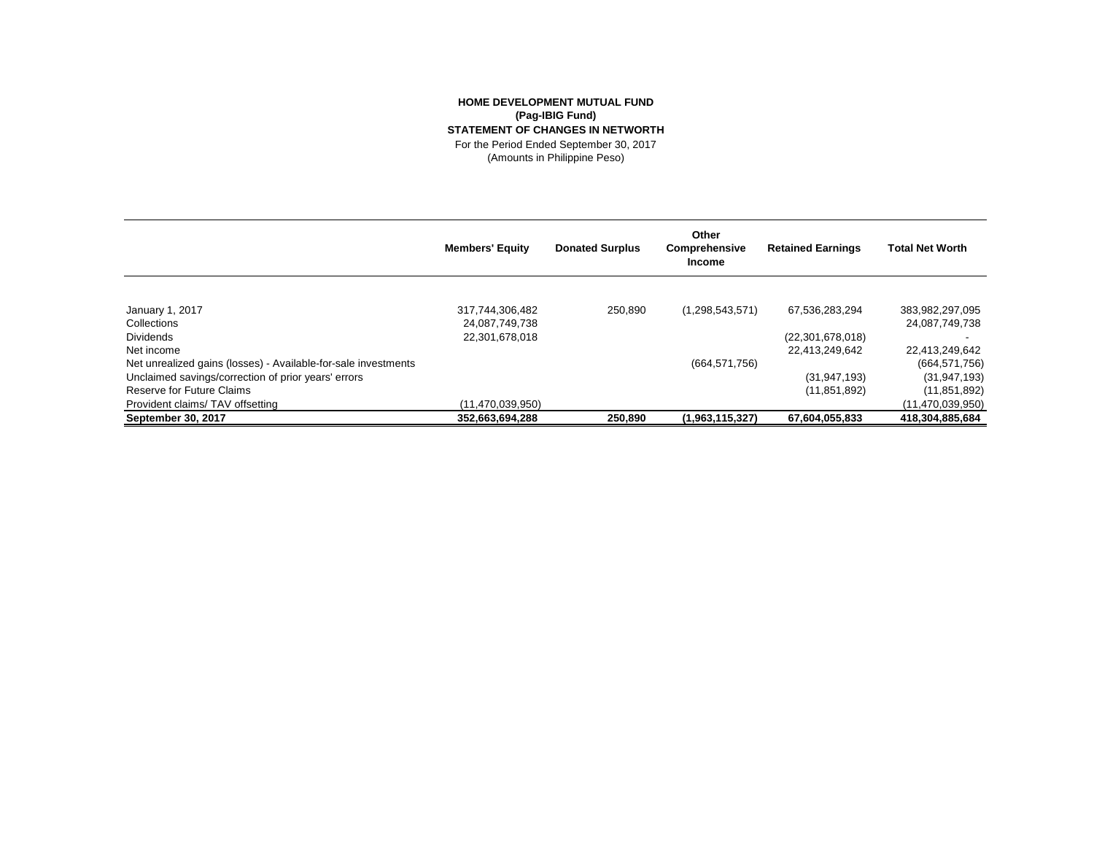## **HOME DEVELOPMENT MUTUAL FUND (Pag-IBIG Fund) STATEMENT OF CHANGES IN NETWORTH** For the Period Ended September 30, 2017 (Amounts in Philippine Peso)

**Members' Equity Donated Surplus Other Comprehensive Income Retained Earnings Total Net Worth** January 1, 2017 317,744,306,482 250,890 (1,298,543,571) 67,536,283,294 383,982,297,095 Collections 24,087,749,738 24,087,749,738 Dividends 22,301,678,018 (22,301,678,018) - Net income 22,413,249,642 22,413,249,642 Net unrealized gains (losses) - Available-for-sale investments (664,571,756) (664,571,756) (664,571,756) (664,571,756) Unclaimed savings/correction of prior years' errors (31,947,193) (31,947,193) (31,947,193) Reserve for Future Claims (11,851,892) (11,851,892) (11,851,892) (11,851,892) Provident claims/ TAV offsetting (11,470,039,950) (11,470,039,950) **September 30, 2017 352,663,694,288 250,890 (1,963,115,327) 67,604,055,833 418,304,885,684**